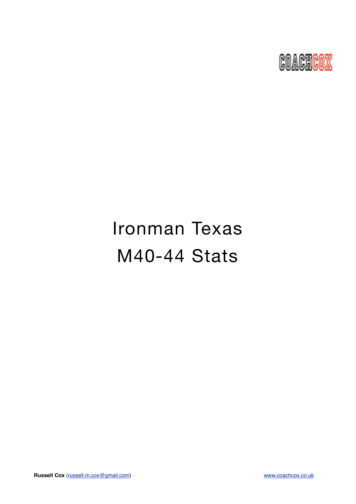

# Ironman Texas M40-44 Stats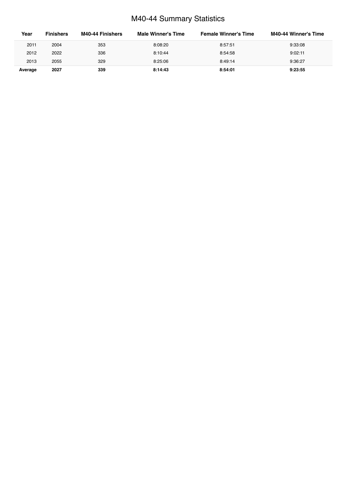## M40-44 Summary Statistics

| Year    | <b>Finishers</b> | M40-44 Finishers | Male Winner's Time | <b>Female Winner's Time</b> | M40-44 Winner's Time |
|---------|------------------|------------------|--------------------|-----------------------------|----------------------|
| 2011    | 2004             | 353              | 8:08:20            | 8:57:51                     | 9:33:08              |
| 2012    | 2022             | 336              | 8:10:44            | 8:54:58                     | 9:02:11              |
| 2013    | 2055             | 329              | 8:25:06            | 8:49:14                     | 9:36:27              |
| Average | 2027             | 339              | 8:14:43            | 8:54:01                     | 9:23:55              |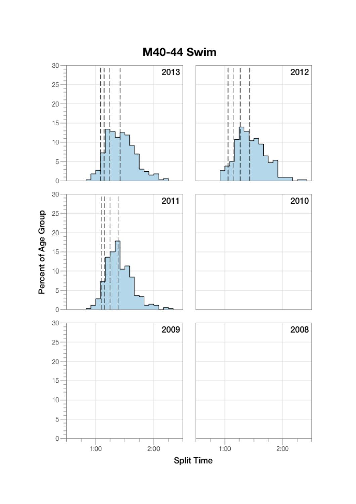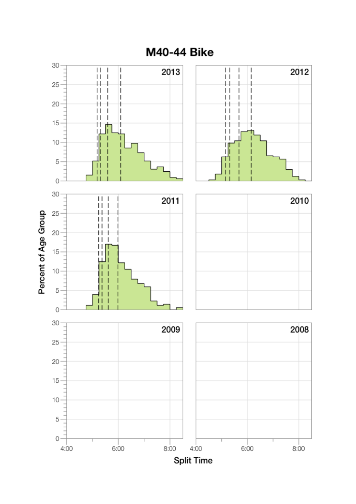

**M40-44 Bike**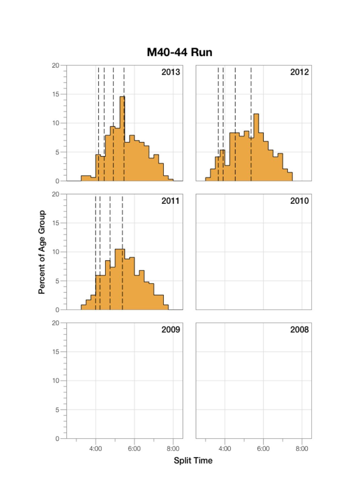

M40-44 Run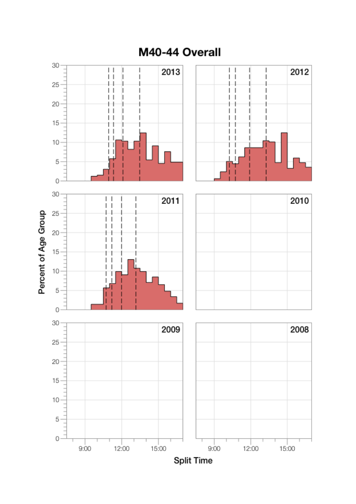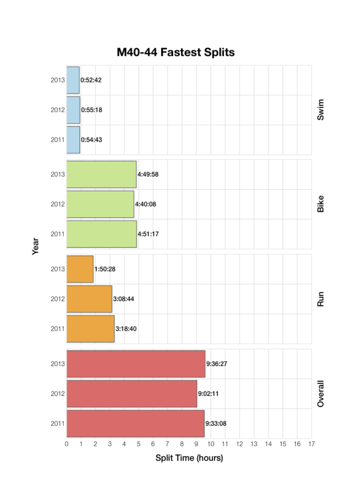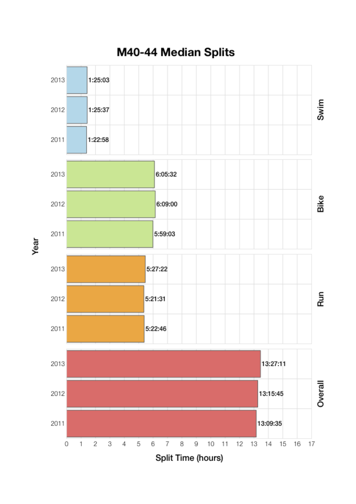

Year

M40-44 Median Splits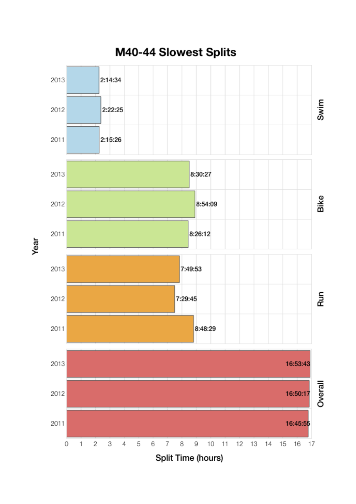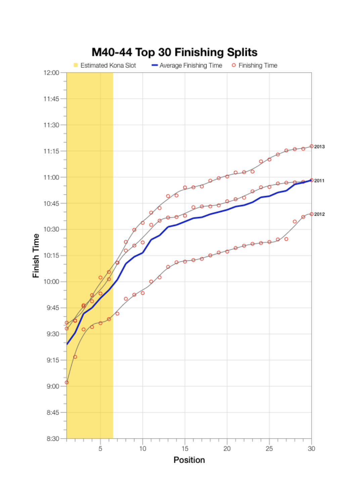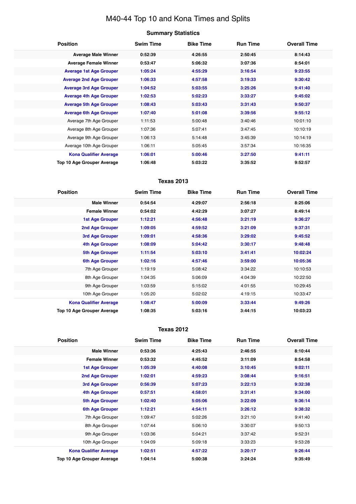## M40-44 Top 10 and Kona Times and Splits

| <b>Summary Statistics</b> |  |
|---------------------------|--|
|---------------------------|--|

| <b>Position</b>                | <b>Swim Time</b> | <b>Bike Time</b> | <b>Run Time</b> | <b>Overall Time</b> |
|--------------------------------|------------------|------------------|-----------------|---------------------|
| <b>Average Male Winner</b>     | 0:52:39          | 4:26:55          | 2:50:45         | 8:14:43             |
| <b>Average Female Winner</b>   | 0:53:47          | 5:06:32          | 3:07:36         | 8:54:01             |
| <b>Average 1st Age Grouper</b> | 1:05:24          | 4:55:29          | 3:16:54         | 9:23:55             |
| <b>Average 2nd Age Grouper</b> | 1:06:33          | 4:57:58          | 3:19:33         | 9:30:42             |
| <b>Average 3rd Age Grouper</b> | 1:04:52          | 5:03:55          | 3:25:26         | 9:41:40             |
| <b>Average 4th Age Grouper</b> | 1:02:53          | 5:02:23          | 3:33:27         | 9:45:02             |
| <b>Average 5th Age Grouper</b> | 1:08:43          | 5:03:43          | 3:31:43         | 9:50:37             |
| <b>Average 6th Age Grouper</b> | 1:07:40          | 5:01:08          | 3:39:56         | 9:55:12             |
| Average 7th Age Grouper        | 1:11:53          | 5:00:48          | 3:40:46         | 10:01:10            |
| Average 8th Age Grouper        | 1:07:36          | 5:07:41          | 3:47:45         | 10:10:19            |
| Average 9th Age Grouper        | 1:06:13          | 5:14:48          | 3:45:39         | 10:14:19            |
| Average 10th Age Grouper       | 1:06:11          | 5:05:45          | 3:57:34         | 10:16:35            |
| <b>Kona Qualifier Average</b>  | 1:06:01          | 5:00:46          | 3:27:50         | 9:41:11             |
| Top 10 Age Grouper Average     | 1:06:48          | 5:03:22          | 3:35:52         | 9:52:57             |

### **Texas 2013**

| <b>Position</b>               | <b>Swim Time</b> | <b>Bike Time</b> | <b>Run Time</b> | <b>Overall Time</b> |
|-------------------------------|------------------|------------------|-----------------|---------------------|
| <b>Male Winner</b>            | 0:54:54          | 4:29:07          | 2:56:18         | 8:25:06             |
| <b>Female Winner</b>          | 0:54:02          | 4:42:29          | 3:07:27         | 8:49:14             |
| <b>1st Age Grouper</b>        | 1:12:21          | 4:56:48          | 3:21:19         | 9:36:27             |
| 2nd Age Grouper               | 1:09:05          | 4:59:52          | 3:21:09         | 9:37:31             |
| 3rd Age Grouper               | 1:09:01          | 4:58:36          | 3:29:02         | 9:45:52             |
| <b>4th Age Grouper</b>        | 1:08:09          | 5:04:42          | 3:30:17         | 9:48:48             |
| 5th Age Grouper               | 1:11:54          | 5:03:10          | 3:41:41         | 10:02:24            |
| 6th Age Grouper               | 1:02:16          | 4:57:46          | 3:59:00         | 10:05:36            |
| 7th Age Grouper               | 1:19:19          | 5:08:42          | 3:34:22         | 10:10:53            |
| 8th Age Grouper               | 1:04:35          | 5:06:09          | 4:04:39         | 10:22:50            |
| 9th Age Grouper               | 1:03:59          | 5:15:02          | 4:01:55         | 10:29:45            |
| 10th Age Grouper              | 1:05:20          | 5:02:02          | 4:19:15         | 10:33:47            |
| <b>Kona Qualifier Average</b> | 1:08:47          | 5:00:09          | 3:33:44         | 9:49:26             |
| Top 10 Age Grouper Average    | 1:08:35          | 5:03:16          | 3:44:15         | 10:03:23            |

#### **Texas 2012**

| <b>Position</b>               | <b>Swim Time</b> | <b>Bike Time</b> | <b>Run Time</b> | <b>Overall Time</b> |
|-------------------------------|------------------|------------------|-----------------|---------------------|
| <b>Male Winner</b>            | 0:53:36          | 4:25:43          | 2:46:55         | 8:10:44             |
| <b>Female Winner</b>          | 0:53:32          | 4:45:52          | 3:11:09         | 8:54:58             |
| <b>1st Age Grouper</b>        | 1:05:39          | 4:40:08          | 3:10:45         | 9:02:11             |
| <b>2nd Age Grouper</b>        | 1:02:01          | 4:59:23          | 3:08:44         | 9:16:51             |
| 3rd Age Grouper               | 0:56:39          | 5:07:23          | 3:22:13         | 9:32:38             |
| 4th Age Grouper               | 0:57:51          | 4:58:01          | 3:31:41         | 9:34:00             |
| <b>5th Age Grouper</b>        | 1:02:40          | 5:05:06          | 3:22:09         | 9:36:14             |
| <b>6th Age Grouper</b>        | 1:12:21          | 4:54:11          | 3:26:12         | 9:38:32             |
| 7th Age Grouper               | 1:09:47          | 5:02:26          | 3:21:10         | 9:41:40             |
| 8th Age Grouper               | 1:07:44          | 5:06:10          | 3:30:07         | 9:50:13             |
| 9th Age Grouper               | 1:03:36          | 5:04:21          | 3:37:42         | 9:52:31             |
| 10th Age Grouper              | 1:04:09          | 5:09:18          | 3:33:23         | 9:53:28             |
| <b>Kona Qualifier Average</b> | 1:02:51          | 4:57:22          | 3:20:17         | 9:26:44             |
| Top 10 Age Grouper Average    | 1:04:14          | 5:00:38          | 3:24:24         | 9:35:49             |